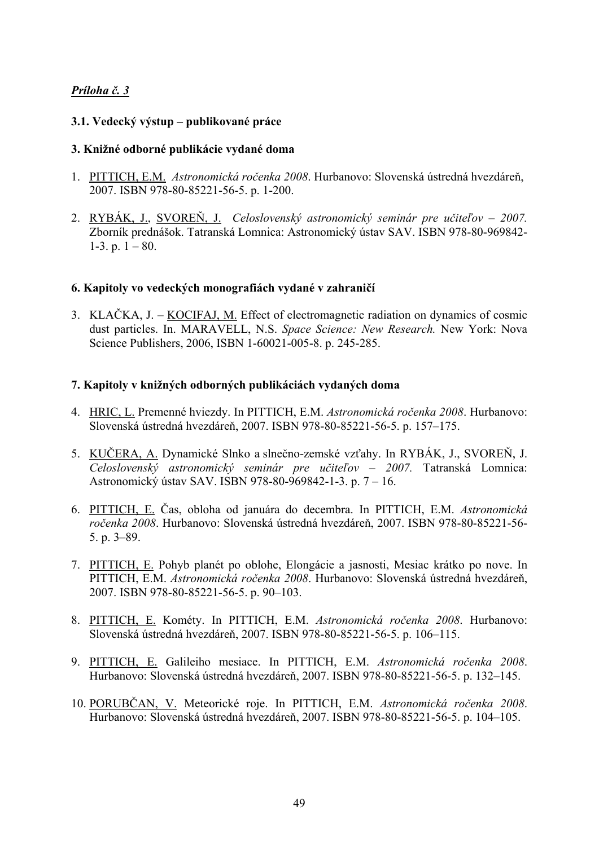# *Príloha č. 3*

# **3.1. Vedecký výstup – publikované práce**

### **3. Knižné odborné publikácie vydané doma**

- 1. PITTICH, E.M. *Astronomická ročenka 2008*. Hurbanovo: Slovenská ústredná hvezdáreň, 2007. ISBN 978-80-85221-56-5. p. 1-200.
- 2. RYBÁK, J., SVOREŇ, J. *Celoslovenský astronomický seminár pre učiteľov 2007.* Zborník prednášok. Tatranská Lomnica: Astronomický ústav SAV. ISBN 978-80-969842- 1-3. p.  $1 - 80$ .

### **6. Kapitoly vo vedeckých monografiách vydané v zahraničí**

3. KLAČKA, J. – KOCIFAJ, M. Effect of electromagnetic radiation on dynamics of cosmic dust particles. In. MARAVELL, N.S. *Space Science: New Research.* New York: Nova Science Publishers, 2006, ISBN 1-60021-005-8. p. 245-285.

### **7. Kapitoly v knižných odborných publikáciách vydaných doma**

- 4. HRIC, L. Premenné hviezdy. In PITTICH, E.M. *Astronomická ročenka 2008*. Hurbanovo: Slovenská ústredná hvezdáreň, 2007. ISBN 978-80-85221-56-5. p. 157–175.
- 5. KUČERA, A. Dynamické Slnko a slnečno-zemské vzťahy. In RYBÁK, J., SVOREŇ, J. *Celoslovenský astronomický seminár pre učiteľov – 2007.* Tatranská Lomnica: Astronomický ústav SAV. ISBN 978-80-969842-1-3. p. 7 – 16.
- 6. PITTICH, E. Čas, obloha od januára do decembra. In PITTICH, E.M. *Astronomická ročenka 2008*. Hurbanovo: Slovenská ústredná hvezdáreň, 2007. ISBN 978-80-85221-56- 5. p. 3–89.
- 7. PITTICH, E. Pohyb planét po oblohe, Elongácie a jasnosti, Mesiac krátko po nove. In PITTICH, E.M. *Astronomická ročenka 2008*. Hurbanovo: Slovenská ústredná hvezdáreň, 2007. ISBN 978-80-85221-56-5. p. 90–103.
- 8. PITTICH, E. Kométy. In PITTICH, E.M. *Astronomická ročenka 2008*. Hurbanovo: Slovenská ústredná hvezdáreň, 2007. ISBN 978-80-85221-56-5. p. 106–115.
- 9. PITTICH, E. Galileiho mesiace. In PITTICH, E.M. *Astronomická ročenka 2008*. Hurbanovo: Slovenská ústredná hvezdáreň, 2007. ISBN 978-80-85221-56-5. p. 132–145.
- 10. PORUBČAN, V. Meteorické roje. In PITTICH, E.M. *Astronomická ročenka 2008*. Hurbanovo: Slovenská ústredná hvezdáreň, 2007. ISBN 978-80-85221-56-5. p. 104–105.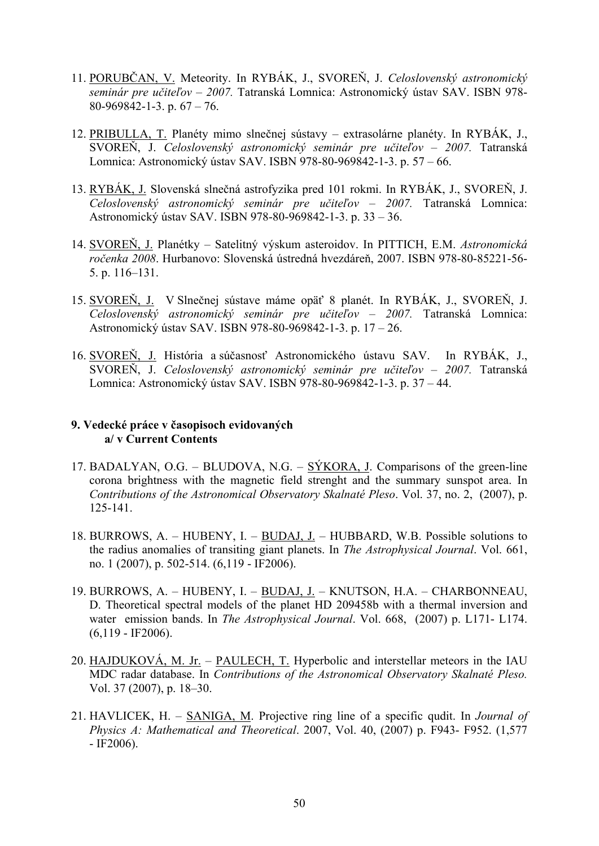- 11. PORUBČAN, V. Meteority. In RYBÁK, J., SVOREŇ, J. *Celoslovenský astronomický seminár pre učiteľov – 2007.* Tatranská Lomnica: Astronomický ústav SAV. ISBN 978- 80-969842-1-3. p.  $67 - 76$ .
- 12. PRIBULLA, T. Planéty mimo slnečnej sústavy extrasolárne planéty. In RYBÁK, J., SVOREŇ, J. *Celoslovenský astronomický seminár pre učiteľov – 2007.* Tatranská Lomnica: Astronomický ústav SAV. ISBN 978-80-969842-1-3. p. 57 – 66.
- 13. RYBÁK, J. Slovenská slnečná astrofyzika pred 101 rokmi. In RYBÁK, J., SVOREŇ, J. *Celoslovenský astronomický seminár pre učiteľov – 2007.* Tatranská Lomnica: Astronomický ústav SAV. ISBN 978-80-969842-1-3. p. 33 – 36.
- 14. SVOREŇ, J. Planétky Satelitný výskum asteroidov. In PITTICH, E.M. *Astronomická ročenka 2008*. Hurbanovo: Slovenská ústredná hvezdáreň, 2007. ISBN 978-80-85221-56- 5. p. 116–131.
- 15. SVOREŇ, J. V Slnečnej sústave máme opäť 8 planét. In RYBÁK, J., SVOREŇ, J. *Celoslovenský astronomický seminár pre učiteľov – 2007.* Tatranská Lomnica: Astronomický ústav SAV. ISBN 978-80-969842-1-3. p. 17 – 26.
- 16. SVOREŇ, J. História a súčasnosť Astronomického ústavu SAV. In RYBÁK, J., SVOREŇ, J. *Celoslovenský astronomický seminár pre učiteľov – 2007.* Tatranská Lomnica: Astronomický ústav SAV. ISBN 978-80-969842-1-3. p. 37 – 44.

### **9. Vedecké práce v časopisoch evidovaných a/ v Current Contents**

- 17. BADALYAN, O.G. BLUDOVA, N.G.  $S\acute{Y}KORA$ , J. Comparisons of the green-line corona brightness with the magnetic field strenght and the summary sunspot area. In *Contributions of the Astronomical Observatory Skalnaté Pleso*. Vol. 37, no. 2, (2007), p. 125-141.
- 18. BURROWS, A. HUBENY, I. BUDAJ, J. HUBBARD, W.B. Possible solutions to the radius anomalies of transiting giant planets. In *The Astrophysical Journal*. Vol. 661, no. 1 (2007), p. 502-514. (6,119 - IF2006).
- 19. BURROWS, A. HUBENY, I. BUDAJ, J. KNUTSON, H.A. CHARBONNEAU, D. Theoretical spectral models of the planet HD 209458b with a thermal inversion and water emission bands. In *The Astrophysical Journal*. Vol. 668, (2007) p. L171- L174.  $(6,119 - IF2006)$ .
- 20. HAJDUKOVÁ, M. Jr. PAULECH, T. Hyperbolic and interstellar meteors in the IAU MDC radar database. In *Contributions of the Astronomical Observatory Skalnaté Pleso.*  Vol. 37 (2007), p. 18–30.
- 21. HAVLICEK, H. SANIGA, M. Projective ring line of a specific qudit. In *Journal of Physics A: Mathematical and Theoretical*. 2007, Vol. 40, (2007) p. F943- F952. (1,577 - IF2006).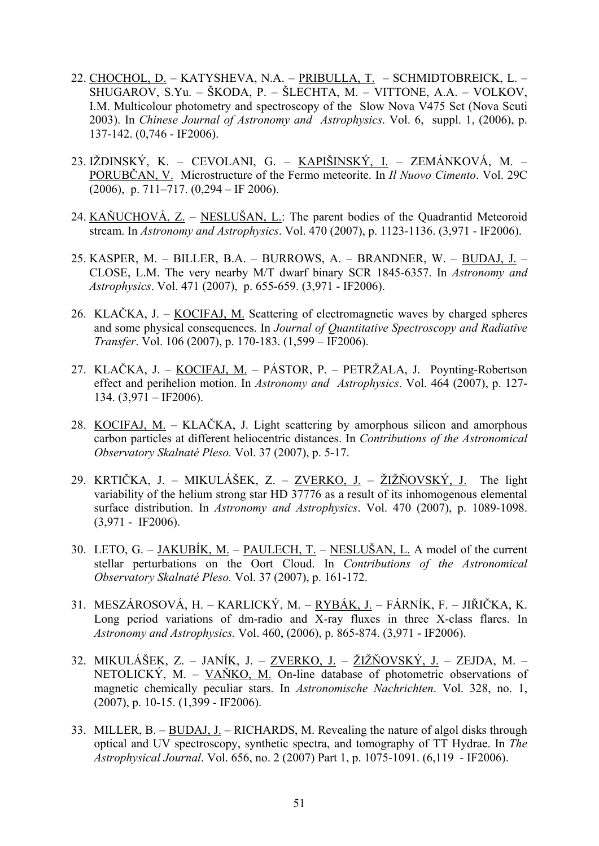- 22. CHOCHOL, D. KATYSHEVA, N.A. PRIBULLA, T. SCHMIDTOBREICK, L. SHUGAROV, S.Yu. – ŠKODA, P. – ŠLECHTA, M. – VITTONE, A.A. – VOLKOV, I.M. Multicolour photometry and spectroscopy of the Slow Nova V475 Sct (Nova Scuti 2003). In *Chinese Journal of Astronomy and Astrophysics*. Vol. 6, suppl. 1, (2006), p. 137-142. (0,746 - IF2006).
- 23. IŽDINSKÝ, K. CEVOLANI, G. KAPIŠINSKÝ, I. ZEMÁNKOVÁ, M. PORUBČAN, V. Microstructure of the Fermo meteorite. In *Il Nuovo Cimento*. Vol. 29C  $(2006)$ , p. 711–717.  $(0,294 - \text{IF } 2006)$ .
- 24. KAŇUCHOVÁ, Z. NESLUŠAN, L.: The parent bodies of the Quadrantid Meteoroid stream. In *Astronomy and Astrophysics*. Vol. 470 (2007), p. 1123-1136. (3,971 - IF2006).
- 25. KASPER, M. BILLER, B.A. BURROWS, A. BRANDNER, W. BUDAJ, J. CLOSE, L.M. The very nearby M/T dwarf binary SCR 1845-6357. In *Astronomy and Astrophysics*. Vol. 471 (2007), p. 655-659. (3,971 - IF2006).
- 26. KLAČKA, J. KOCIFAJ, M. Scattering of electromagnetic waves by charged spheres and some physical consequences. In *Journal of Quantitative Spectroscopy and Radiative Transfer*. Vol. 106 (2007), p. 170-183. (1,599 – IF2006).
- 27. KLAČKA, J. KOCIFAJ, M. PÁSTOR, P. PETRŽALA, J. Poynting-Robertson effect and perihelion motion. In *Astronomy and Astrophysics*. Vol. 464 (2007), p. 127- 134.  $(3,971 - \text{IF2006}).$
- 28. KOCIFAJ, M. KLAČKA, J. Light scattering by amorphous silicon and amorphous carbon particles at different heliocentric distances. In *Contributions of the Astronomical Observatory Skalnaté Pleso.* Vol. 37 (2007), p. 5-17.
- 29. KRTIČKA, J. MIKULÁŠEK, Z. ZVERKO, J. ŽIŽŇOVSKÝ, J. The light variability of the helium strong star HD 37776 as a result of its inhomogenous elemental surface distribution. In *Astronomy and Astrophysics*. Vol. 470 (2007), p. 1089-1098. (3,971 - IF2006).
- 30. LETO, G. JAKUBÍK, M. PAULECH, T. NESLUŠAN, L. A model of the current stellar perturbations on the Oort Cloud. In *Contributions of the Astronomical Observatory Skalnaté Pleso.* Vol. 37 (2007), p. 161-172.
- 31. MESZÁROSOVÁ, H. KARLICKÝ, M. RYBÁK, J. FÁRNÍK, F. JIŘIČKA, K. Long period variations of dm-radio and X-ray fluxes in three X-class flares. In *Astronomy and Astrophysics.* Vol. 460, (2006), p. 865-874. (3,971 - IF2006).
- 32. MIKULÁŠEK, Z. JANÍK, J. ZVERKO, J. ŽIŽŇOVSKÝ, J. ZEJDA, M. NETOLICKÝ, M. – VAŇKO, M. On-line database of photometric observations of magnetic chemically peculiar stars. In *Astronomische Nachrichten*. Vol. 328, no. 1, (2007), p. 10-15. (1,399 - IF2006).
- 33. MILLER, B. BUDAJ, J. RICHARDS, M. Revealing the nature of algol disks through optical and UV spectroscopy, synthetic spectra, and tomography of TT Hydrae. In *The Astrophysical Journal*. Vol. 656, no. 2 (2007) Part 1, p. 1075-1091. (6,119 - IF2006).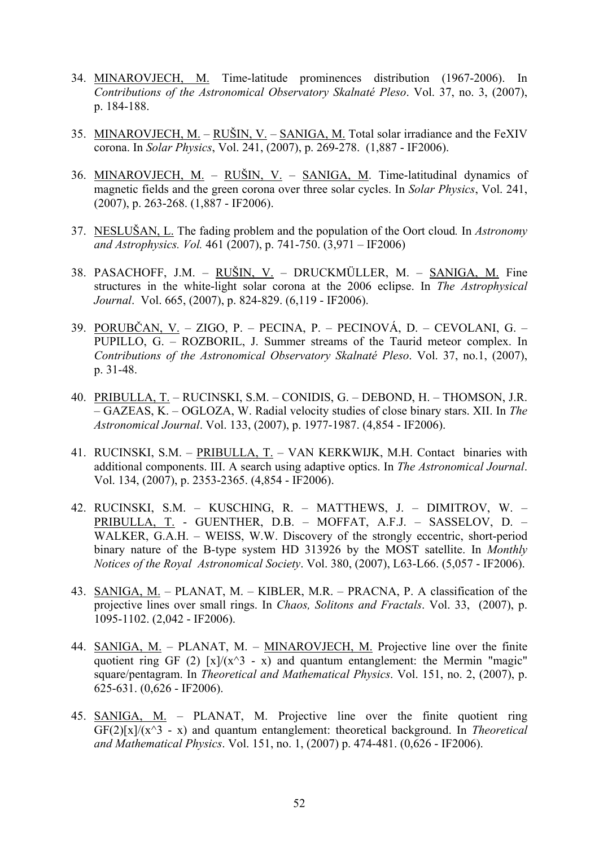- 34. MINAROVJECH, M. Time-latitude prominences distribution (1967-2006). In *Contributions of the Astronomical Observatory Skalnaté Pleso*. Vol. 37, no. 3, (2007), p. 184-188.
- 35. MINAROVJECH, M. RUŠIN, V. SANIGA, M. Total solar irradiance and the FeXIV corona. In *Solar Physics*, Vol. 241, (2007), p. 269-278. (1,887 - IF2006).
- 36. MINAROVJECH, M. RUŠIN, V. SANIGA, M. Time-latitudinal dynamics of magnetic fields and the green corona over three solar cycles. In *Solar Physics*, Vol. 241, (2007), p. 263-268. (1,887 - IF2006).
- 37. NESLUŠAN, L. The fading problem and the population of the Oort cloud*.* In *Astronomy and Astrophysics. Vol.* 461 (2007), p. 741-750. (3,971 – IF2006)
- 38. PASACHOFF, J.M. RUŠIN, V. DRUCKMÜLLER, M. SANIGA, M. Fine structures in the white-light solar corona at the 2006 eclipse. In *The Astrophysical Journal*. Vol. 665, (2007), p. 824-829. (6,119 - IF2006).
- 39. PORUBČAN, V. ZIGO, P. PECINA, P. PECINOVÁ, D. CEVOLANI, G. PUPILLO, G. – ROZBORIL, J. Summer streams of the Taurid meteor complex. In *Contributions of the Astronomical Observatory Skalnaté Pleso*. Vol. 37, no.1, (2007), p. 31-48.
- 40. PRIBULLA, T. RUCINSKI, S.M. CONIDIS, G. DEBOND, H. THOMSON, J.R. – GAZEAS, K. – OGLOZA, W. Radial velocity studies of close binary stars. XII. In *The Astronomical Journal*. Vol. 133, (2007), p. 1977-1987. (4,854 - IF2006).
- 41. RUCINSKI, S.M. PRIBULLA, T. VAN KERKWIJK, M.H. Contact binaries with additional components. III. A search using adaptive optics. In *The Astronomical Journal*. Vol. 134, (2007), p. 2353-2365. (4,854 - IF2006).
- 42. RUCINSKI, S.M. KUSCHING, R. MATTHEWS, J. DIMITROV, W. PRIBULLA, T. - GUENTHER, D.B. – MOFFAT, A.F.J. – SASSELOV, D. – WALKER, G.A.H. – WEISS, W.W. Discovery of the strongly eccentric, short-period binary nature of the B-type system HD 313926 by the MOST satellite. In *Monthly Notices of the Royal Astronomical Society*. Vol. 380, (2007), L63-L66. (5,057 - IF2006).
- 43. SANIGA, M. PLANAT, M. KIBLER, M.R. PRACNA, P. A classification of the projective lines over small rings. In *Chaos, Solitons and Fractals*. Vol. 33, (2007), p. 1095-1102. (2,042 - IF2006).
- 44. SANIGA, M. PLANAT, M. MINAROVJECH, M. Projective line over the finite quotient ring GF (2)  $[x]/(x^3 - x)$  and quantum entanglement: the Mermin "magic" square/pentagram. In *Theoretical and Mathematical Physics*. Vol. 151, no. 2, (2007), p. 625-631. (0,626 - IF2006).
- 45. SANIGA, M. PLANAT, M. Projective line over the finite quotient ring GF(2)[x]/(x^3 - x) and quantum entanglement: theoretical background. In *Theoretical and Mathematical Physics*. Vol. 151, no. 1, (2007) p. 474-481. (0,626 - IF2006).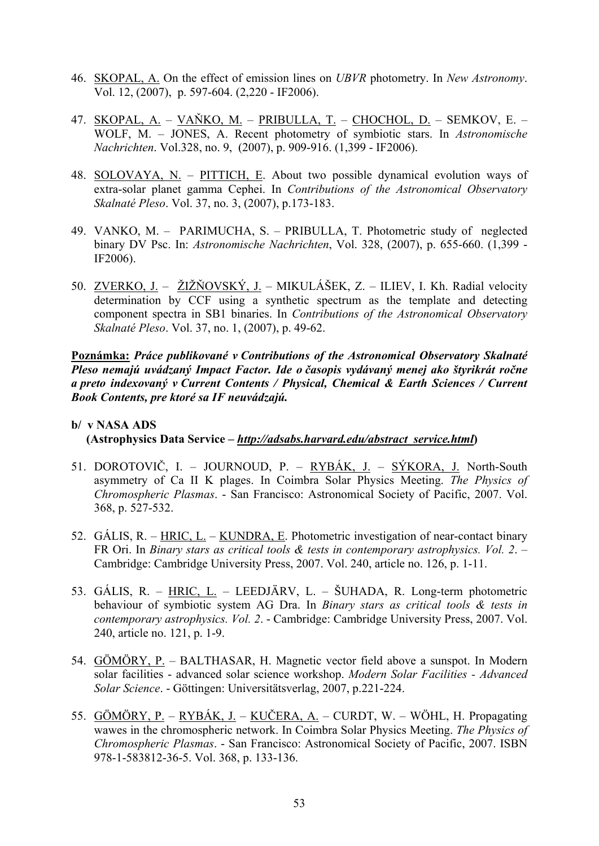- 46. SKOPAL, A. On the effect of emission lines on *UBVR* photometry. In *New Astronomy*. Vol. 12, (2007), p. 597-604. (2,220 - IF2006).
- 47. SKOPAL, A. VAŇKO, M. PRIBULLA, T. CHOCHOL, D. SEMKOV, E. WOLF, M. – JONES, A. Recent photometry of symbiotic stars. In *Astronomische Nachrichten*. Vol.328, no. 9, (2007), p. 909-916. (1,399 - IF2006).
- 48. SOLOVAYA, N. PITTICH, E. About two possible dynamical evolution ways of extra-solar planet gamma Cephei. In *Contributions of the Astronomical Observatory Skalnaté Pleso*. Vol. 37, no. 3, (2007), p.173-183.
- 49. VANKO, M. PARIMUCHA, S. PRIBULLA, T. Photometric study of neglected binary DV Psc. In: *Astronomische Nachrichten*, Vol. 328, (2007), p. 655-660. (1,399 - IF2006).
- 50. ZVERKO, J. ŽIŽŇOVSKÝ, J. MIKULÁŠEK, Z. ILIEV, I. Kh. Radial velocity determination by CCF using a synthetic spectrum as the template and detecting component spectra in SB1 binaries. In *Contributions of the Astronomical Observatory Skalnaté Pleso*. Vol. 37, no. 1, (2007), p. 49-62.

**Poznámka:** *Práce publikované v Contributions of the Astronomical Observatory Skalnaté Pleso nemajú uvádzaný Impact Factor. Ide o časopis vydávaný menej ako štyrikrát ročne a preto indexovaný v Current Contents / Physical, Chemical & Earth Sciences / Current Book Contents, pre ktoré sa IF neuvádzajú.*

# **b/ v NASA ADS (Astrophysics Data Service –** *http://adsabs.harvard.edu/abstract\_service.html***)**

- 51. DOROTOVIČ, I. JOURNOUD, P. RYBÁK, J. SÝKORA, J. North-South asymmetry of Ca II K plages. In Coimbra Solar Physics Meeting. *The Physics of Chromospheric Plasmas*. - San Francisco: Astronomical Society of Pacific, 2007. Vol. 368, p. 527-532.
- 52. GÁLIS, R.  $HRIC$ , L. KUNDRA, E. Photometric investigation of near-contact binary FR Ori. In *Binary stars as critical tools & tests in contemporary astrophysics. Vol. 2*. – Cambridge: Cambridge University Press, 2007. Vol. 240, article no. 126, p. 1-11.
- 53. GÁLIS, R. HRIC, L. LEEDJÄRV, L. ŠUHADA, R. Long-term photometric behaviour of symbiotic system AG Dra. In *Binary stars as critical tools & tests in contemporary astrophysics. Vol. 2*. - Cambridge: Cambridge University Press, 2007. Vol. 240, article no. 121, p. 1-9.
- 54. GÖMÖRY, P. BALTHASAR, H. Magnetic vector field above a sunspot. In Modern solar facilities - advanced solar science workshop. *Modern Solar Facilities - Advanced Solar Science*. - Göttingen: Universitätsverlag, 2007, p.221-224.
- 55. GÖMÖRY, P. RYBÁK, J. KUČERA, A. CURDT, W. WÖHL, H. Propagating wawes in the chromospheric network. In Coimbra Solar Physics Meeting. *The Physics of Chromospheric Plasmas*. - San Francisco: Astronomical Society of Pacific, 2007. ISBN 978-1-583812-36-5. Vol. 368, p. 133-136.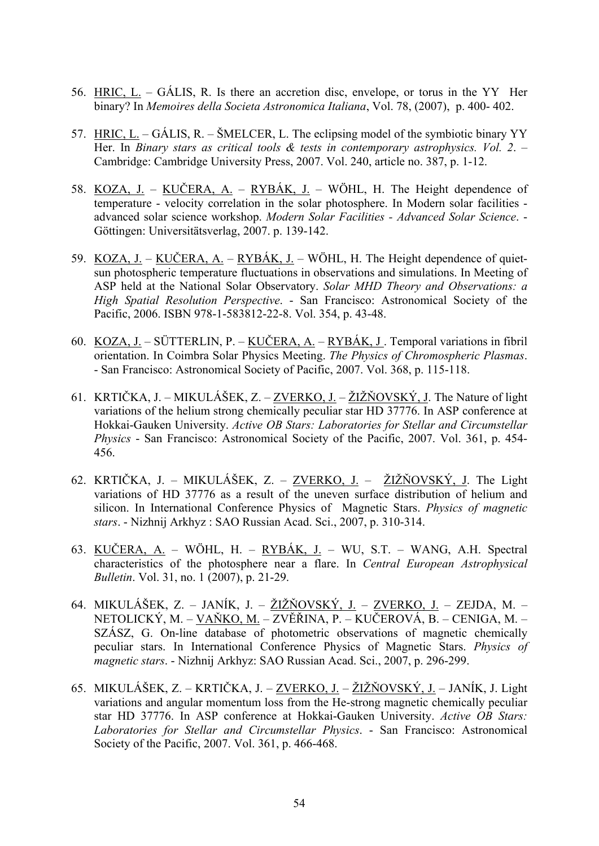- 56. HRIC, L. GÁLIS, R. Is there an accretion disc, envelope, or torus in the YY Her binary? In *Memoires della Societa Astronomica Italiana*, Vol. 78, (2007), p. 400- 402.
- 57. HRIC, L. GÁLIS, R. ŠMELCER, L. The eclipsing model of the symbiotic binary YY Her. In *Binary stars as critical tools & tests in contemporary astrophysics. Vol. 2*. – Cambridge: Cambridge University Press, 2007. Vol. 240, article no. 387, p. 1-12.
- 58. KOZA, J. KUČERA, A. RYBÁK, J. WÖHL, H. The Height dependence of temperature - velocity correlation in the solar photosphere. In Modern solar facilities advanced solar science workshop. *Modern Solar Facilities - Advanced Solar Science*. - Göttingen: Universitätsverlag, 2007. p. 139-142.
- 59. KOZA, J. KUČERA, A. RYBÁK, J. WÖHL, H. The Height dependence of quietsun photospheric temperature fluctuations in observations and simulations. In Meeting of ASP held at the National Solar Observatory. *Solar MHD Theory and Observations: a High Spatial Resolution Perspective*. - San Francisco: Astronomical Society of the Pacific, 2006. ISBN 978-1-583812-22-8. Vol. 354, p. 43-48.
- 60. KOZA, J. SÜTTERLIN, P. KUČERA, A. RYBÁK, J . Temporal variations in fibril orientation. In Coimbra Solar Physics Meeting. *The Physics of Chromospheric Plasmas*. - San Francisco: Astronomical Society of Pacific, 2007. Vol. 368, p. 115-118.
- 61. KRTIČKA, J. MIKULÁŠEK, Z. ZVERKO, J. ŽIŽŇOVSKÝ, J. The Nature of light variations of the helium strong chemically peculiar star HD 37776. In ASP conference at Hokkai-Gauken University. *Active OB Stars: Laboratories for Stellar and Circumstellar Physics* - San Francisco: Astronomical Society of the Pacific, 2007. Vol. 361, p. 454- 456.
- 62. KRTIČKA, J. MIKULÁŠEK, Z. ZVERKO, J. ŽIŽŇOVSKÝ, J. The Light variations of HD 37776 as a result of the uneven surface distribution of helium and silicon. In International Conference Physics of Magnetic Stars. *Physics of magnetic stars*. - Nizhnij Arkhyz : SAO Russian Acad. Sci., 2007, p. 310-314.
- 63. KUČERA, A. WÖHL, H. RYBÁK, J. WU, S.T. WANG, A.H. Spectral characteristics of the photosphere near a flare. In *Central European Astrophysical Bulletin*. Vol. 31, no. 1 (2007), p. 21-29.
- 64. MIKULÁŠEK, Z. JANÍK, J. ŽIŽŇOVSKÝ, J. ZVERKO, J. ZEJDA, M. NETOLICKÝ, M. – VAŇKO, M. – ZVĚŘINA, P. – KUČEROVÁ, B. – CENIGA, M. – SZÁSZ, G. On-line database of photometric observations of magnetic chemically peculiar stars. In International Conference Physics of Magnetic Stars. *Physics of magnetic stars*. - Nizhnij Arkhyz: SAO Russian Acad. Sci., 2007, p. 296-299.
- 65. MIKULÁŠEK, Z. KRTIČKA, J. ZVERKO, J. ŽIŽŇOVSKÝ, J. JANÍK, J. Light variations and angular momentum loss from the He-strong magnetic chemically peculiar star HD 37776. In ASP conference at Hokkai-Gauken University. *Active OB Stars: Laboratories for Stellar and Circumstellar Physics*. - San Francisco: Astronomical Society of the Pacific, 2007. Vol. 361, p. 466-468.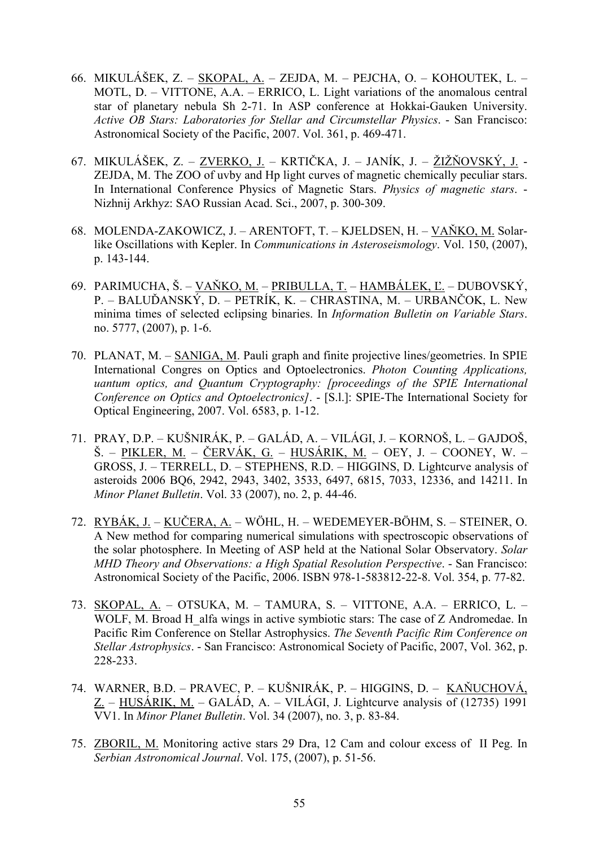- 66. MIKULÁŠEK, Z. SKOPAL, A. ZEJDA, M. PEJCHA, O. KOHOUTEK, L. MOTL, D. – VITTONE, A.A. – ERRICO, L. Light variations of the anomalous central star of planetary nebula Sh 2-71. In ASP conference at Hokkai-Gauken University. *Active OB Stars: Laboratories for Stellar and Circumstellar Physics*. - San Francisco: Astronomical Society of the Pacific, 2007. Vol. 361, p. 469-471.
- 67. MIKULÁŠEK, Z. ZVERKO, J. KRTIČKA, J. JANÍK, J. ŽIŽŇOVSKÝ, J. ZEJDA, M. The ZOO of uvby and Hp light curves of magnetic chemically peculiar stars. In International Conference Physics of Magnetic Stars. *Physics of magnetic stars*. - Nizhnij Arkhyz: SAO Russian Acad. Sci., 2007, p. 300-309.
- 68. MOLENDA-ZAKOWICZ, J. ARENTOFT, T. KJELDSEN, H. VAŇKO, M. Solarlike Oscillations with Kepler. In *Communications in Asteroseismology*. Vol. 150, (2007), p. 143-144.
- 69. PARIMUCHA, Š. VAŇKO, M. PRIBULLA, T. HAMBÁLEK, Ľ. DUBOVSKÝ, P. – BALUĎANSKÝ, D. – PETRÍK, K. – CHRASTINA, M. – URBANČOK, L. New minima times of selected eclipsing binaries. In *Information Bulletin on Variable Stars*. no. 5777, (2007), p. 1-6.
- 70. PLANAT, M. SANIGA, M. Pauli graph and finite projective lines/geometries. In SPIE International Congres on Optics and Optoelectronics. *Photon Counting Applications, uantum optics, and Quantum Cryptography: [proceedings of the SPIE International Conference on Optics and Optoelectronics]*. - [S.l.]: SPIE-The International Society for Optical Engineering, 2007. Vol. 6583, p. 1-12.
- 71. PRAY, D.P. KUŠNIRÁK, P. GALÁD, A. VILÁGI, J. KORNOŠ, L. GAJDOŠ, Š. – PIKLER, M. – ČERVÁK, G. – HUSÁRIK, M. – OEY, J. – COONEY, W. – GROSS, J. – TERRELL, D. – STEPHENS, R.D. – HIGGINS, D. Lightcurve analysis of asteroids 2006 BQ6, 2942, 2943, 3402, 3533, 6497, 6815, 7033, 12336, and 14211. In *Minor Planet Bulletin*. Vol. 33 (2007), no. 2, p. 44-46.
- 72. RYBÁK, J. KUČERA, A. WÖHL, H. WEDEMEYER-BÖHM, S. STEINER, O. A New method for comparing numerical simulations with spectroscopic observations of the solar photosphere. In Meeting of ASP held at the National Solar Observatory. *Solar MHD Theory and Observations: a High Spatial Resolution Perspective*. - San Francisco: Astronomical Society of the Pacific, 2006. ISBN 978-1-583812-22-8. Vol. 354, p. 77-82.
- 73. SKOPAL, A. OTSUKA, M. TAMURA, S. VITTONE, A.A. ERRICO, L. WOLF, M. Broad H alfa wings in active symbiotic stars: The case of Z Andromedae. In Pacific Rim Conference on Stellar Astrophysics. *The Seventh Pacific Rim Conference on Stellar Astrophysics*. - San Francisco: Astronomical Society of Pacific, 2007, Vol. 362, p. 228-233.
- 74. WARNER, B.D. PRAVEC, P. KUŠNIRÁK, P. HIGGINS, D. KAŇUCHOVÁ, Z. – HUSÁRIK, M. – GALÁD, A. – VILÁGI, J. Lightcurve analysis of (12735) 1991 VV1. In *Minor Planet Bulletin*. Vol. 34 (2007), no. 3, p. 83-84.
- 75. ZBORIL, M. Monitoring active stars 29 Dra, 12 Cam and colour excess of II Peg. In *Serbian Astronomical Journal*. Vol. 175, (2007), p. 51-56.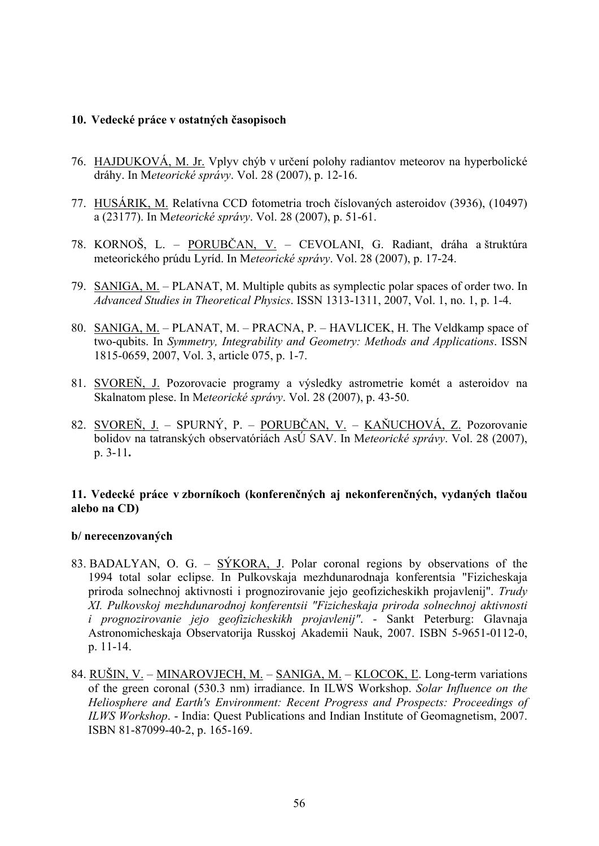#### **10. Vedecké práce v ostatných časopisoch**

- 76. HAJDUKOVÁ, M. Jr. Vplyv chýb v určení polohy radiantov meteorov na hyperbolické dráhy. In M*eteorické správy*. Vol. 28 (2007), p. 12-16.
- 77. HUSÁRIK, M. Relatívna CCD fotometria troch číslovaných asteroidov (3936), (10497) a (23177). In M*eteorické správy*. Vol. 28 (2007), p. 51-61.
- 78. KORNOŠ, L. PORUBČAN, V. CEVOLANI, G. Radiant, dráha a štruktúra meteorického prúdu Lyríd. In M*eteorické správy*. Vol. 28 (2007), p. 17-24.
- 79. SANIGA, M. PLANAT, M. Multiple qubits as symplectic polar spaces of order two. In *Advanced Studies in Theoretical Physics*. ISSN 1313-1311, 2007, Vol. 1, no. 1, p. 1-4.
- 80. SANIGA, M. PLANAT, M. PRACNA, P. HAVLICEK, H. The Veldkamp space of two-qubits. In *Symmetry, Integrability and Geometry: Methods and Applications*. ISSN 1815-0659, 2007, Vol. 3, article 075, p. 1-7.
- 81. SVOREŇ, J. Pozorovacie programy a výsledky astrometrie komét a asteroidov na Skalnatom plese. In M*eteorické správy*. Vol. 28 (2007), p. 43-50.
- 82. SVOREŇ, J. SPURNÝ, P. PORUBČAN, V. KAŇUCHOVÁ, Z. Pozorovanie bolidov na tatranských observatóriách AsÚ SAV. In M*eteorické správy*. Vol. 28 (2007), p. 3-11**.**

### **11. Vedecké práce v zborníkoch (konferenčných aj nekonferenčných, vydaných tlačou alebo na CD)**

#### **b/ nerecenzovaných**

- 83. BADALYAN, O. G. SÝKORA, J. Polar coronal regions by observations of the 1994 total solar eclipse. In Pulkovskaja mezhdunarodnaja konferentsia "Fizicheskaja priroda solnechnoj aktivnosti i prognozirovanie jejo geofizicheskikh projavlenij". *Trudy XI. Pulkovskoj mezhdunarodnoj konferentsii "Fizicheskaja priroda solnechnoj aktivnosti i prognozirovanie jejo geofizicheskikh projavlenij"*. - Sankt Peterburg: Glavnaja Astronomicheskaja Observatorija Russkoj Akademii Nauk, 2007. ISBN 5-9651-0112-0, p. 11-14.
- 84. RUŠIN, V. MINAROVJECH, M. SANIGA, M. KLOCOK, L'. Long-term variations of the green coronal (530.3 nm) irradiance. In ILWS Workshop. *Solar Influence on the Heliosphere and Earth's Environment: Recent Progress and Prospects: Proceedings of ILWS Workshop*. - India: Quest Publications and Indian Institute of Geomagnetism, 2007. ISBN 81-87099-40-2, p. 165-169.